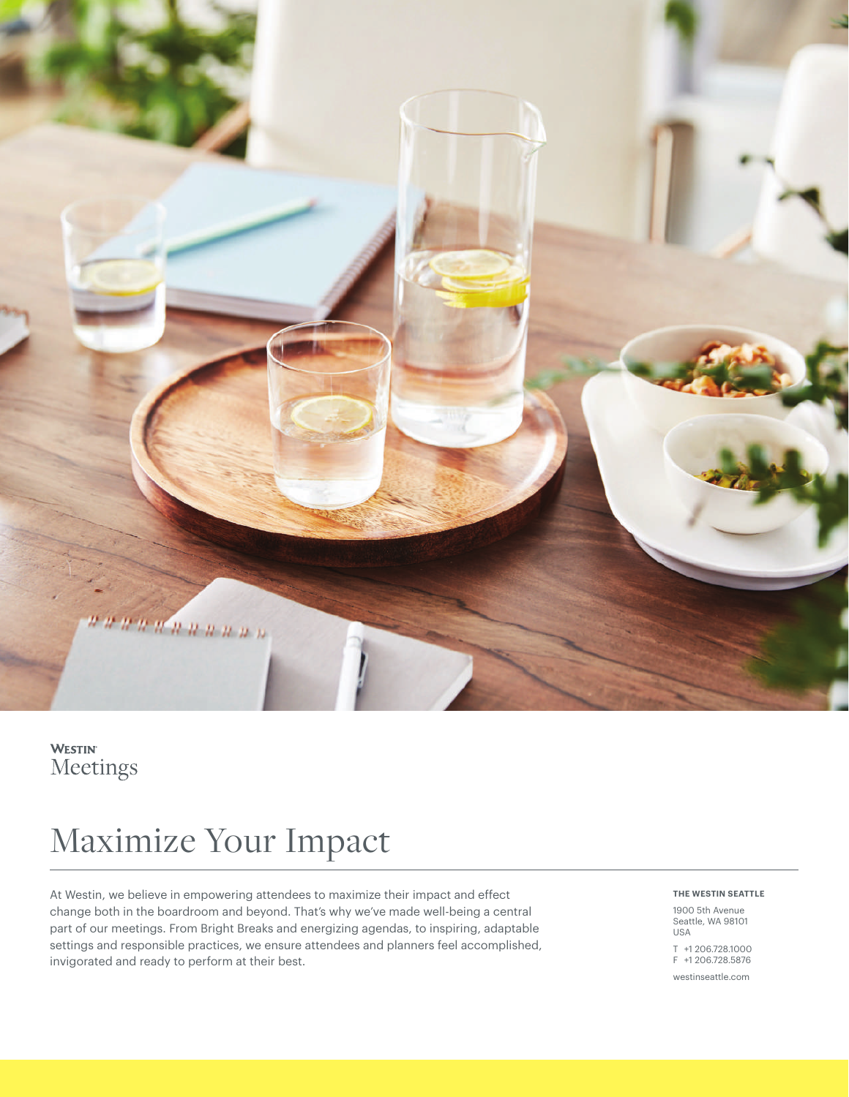

# **WESTIN** Meetings

# Maximize Your Impact

At Westin, we believe in empowering attendees to maximize their impact and effect change both in the boardroom and beyond. That's why we've made well-being a central part of our meetings. From Bright Breaks and energizing agendas, to inspiring, adaptable settings and responsible practices, we ensure attendees and planners feel accomplished, invigorated and ready to perform at their best.

# **THE WESTIN SEATTLE**

1900 5th Avenue Seattle, WA 98101 USA

T +1 206.728.1000 F +1 206.728.5876

[westinseattle.com](http://westinseattle.com)